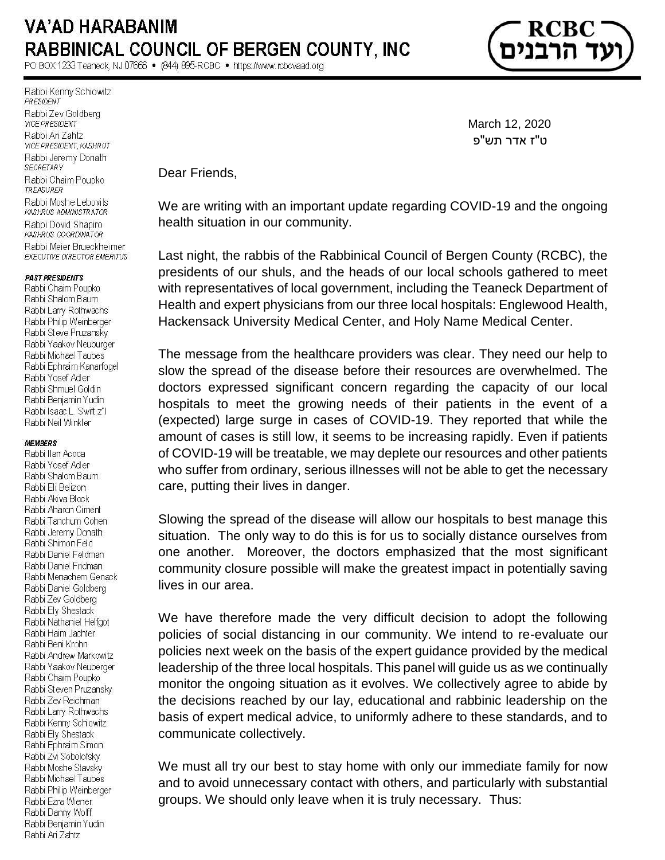# **VA'AD HARABANIM RABBINICAL COUNCIL OF BERGEN COUNTY, INC.**

PO BOX 1233 Teaneck, NJ 07666 · (844) 895-RCBC · https://www.rcbcvaad.org

Rabbi Kenny Schiowitz PRESIDENT Rabbi Zev Goldberg **VICE PRESIDENT** Rabbi Ari Zahtz VICE PRESIDENT, KASHRUT Rabbi Jeremy Donath **SECRETARY** Rabbi Chaim Poupko TREASURER Rabbi Moshe Lebovits KASHRUS ADMINISTRATOR Rabbi Dovid Shapiro KASHRUS COORDINATOR Rabbi Meier Brueckheimer **EXECUTIVE DIRECTOR EMERITUS** 

### **PAST PRESIDENTS**

Rabbi Chaim Poupko Rabbi Shalom Baum Rabbi Larry Rothwachs Rabbi Philip Weinberger Rabbi Steve Pruzansky Rabbi Yaakov Neuburger Rabbi Michael Taubes Rabbi Ephraim Kanarfogel Rabbi Yosef Adler Rabbi Shmuel Goldin Rabbi Benjamin Yudin Rabbi Isaac L. Swift z"I Rabbi Neil Winkler

#### **MEMBERS**

Rabbi Ilan Acoca Rabbi Yosef Adler Rabbi Shalom Baum Rabbi Eli Belizon Rabbi Akiva Block Rabbi Aharon Ciment Rabbi Tanchum Cohen Rabbi Jeremy Donath Rabbi Shimon Feld Rabbi Daniel Feldman Rabbi Daniel Fridman Rabbi Menachem Genack Rabbi Daniel Goldberg Rabbi Zev Goldberg Rabbi Ely Shestack Rabbi Nathaniel Helfgot Rabbi Haim Jachter Rabbi Beni Krohn Rabbi Andrew Markowitz Rabbi Yaakov Neuberger Rabbi Chaim Poupko Rabbi Steven Pruzansky Rabbi Zev Reichman Rabbi Larry Rothwachs Rabbi Kenny Schiowitz Rabbi Ely Shestack Rabbi Ephraim Simon Rabbi Zvi Sobolofsky Rabbi Moshe Stavsky Rabbi Michael Taubes Rabbi Philip Weinberger Rabbi Ezra Wiener Rabbi Danny Wolff Rabbi Benjamin Yudin Rabbi Ari Zahtz

 March 12, 2020 ט"ז אדר תש"פ

Dear Friends,

We are writing with an important update regarding COVID-19 and the ongoing health situation in our community.

Last night, the rabbis of the Rabbinical Council of Bergen County (RCBC), the presidents of our shuls, and the heads of our local schools gathered to meet with representatives of local government, including the Teaneck Department of Health and expert physicians from our three local hospitals: Englewood Health, Hackensack University Medical Center, and Holy Name Medical Center.

The message from the healthcare providers was clear. They need our help to slow the spread of the disease before their resources are overwhelmed. The doctors expressed significant concern regarding the capacity of our local hospitals to meet the growing needs of their patients in the event of a (expected) large surge in cases of COVID-19. They reported that while the amount of cases is still low, it seems to be increasing rapidly. Even if patients of COVID-19 will be treatable, we may deplete our resources and other patients who suffer from ordinary, serious illnesses will not be able to get the necessary care, putting their lives in danger.

Slowing the spread of the disease will allow our hospitals to best manage this situation. The only way to do this is for us to socially distance ourselves from one another. Moreover, the doctors emphasized that the most significant community closure possible will make the greatest impact in potentially saving lives in our area.

We have therefore made the very difficult decision to adopt the following policies of social distancing in our community. We intend to re-evaluate our policies next week on the basis of the expert guidance provided by the medical leadership of the three local hospitals. This panel will guide us as we continually monitor the ongoing situation as it evolves. We collectively agree to abide by the decisions reached by our lay, educational and rabbinic leadership on the basis of expert medical advice, to uniformly adhere to these standards, and to communicate collectively.

We must all try our best to stay home with only our immediate family for now and to avoid unnecessary contact with others, and particularly with substantial groups. We should only leave when it is truly necessary. Thus: